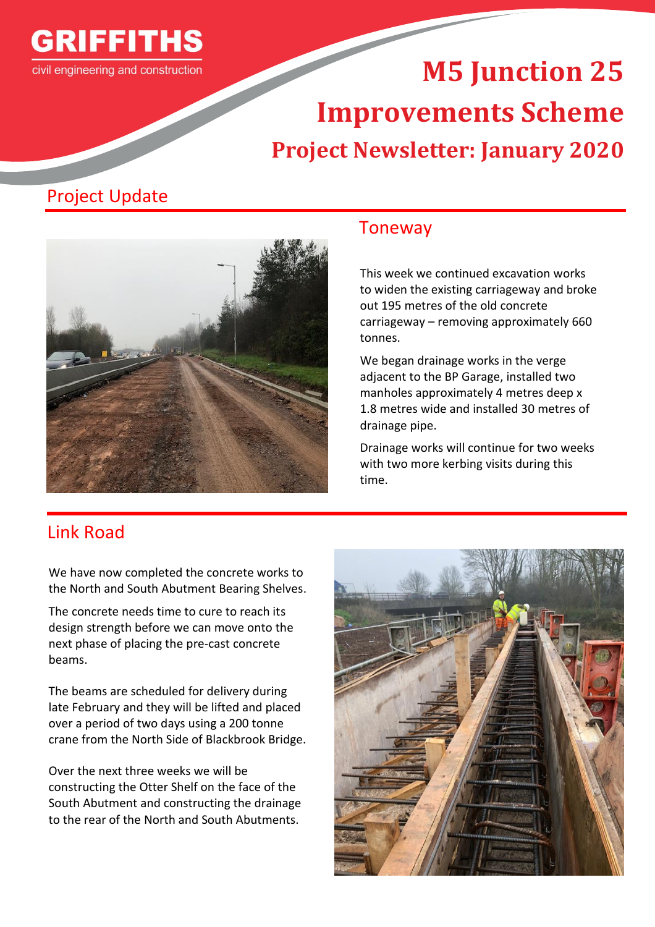

# **M5 Junction 25 Improvements Scheme Project Newsletter: January 2020**

## Project Update



#### Toneway

This week we continued excavation works to widen the existing carriageway and broke out 195 metres of the old concrete carriageway – removing approximately 660 tonnes.

We began drainage works in the verge adjacent to the BP Garage, installed two manholes approximately 4 metres deep x 1.8 metres wide and installed 30 metres of drainage pipe.

Drainage works will continue for two weeks with two more kerbing visits during this time.

### Link Road

We have now completed the concrete works to the North and South Abutment Bearing Shelves.

The concrete needs time to cure to reach its design strength before we can move onto the next phase of placing the pre-cast concrete beams.

The beams are scheduled for delivery during late February and they will be lifted and placed over a period of two days using a 200 tonne crane from the North Side of Blackbrook Bridge.

Over the next three weeks we will be constructing the Otter Shelf on the face of the South Abutment and constructing the drainage to the rear of the North and South Abutments.